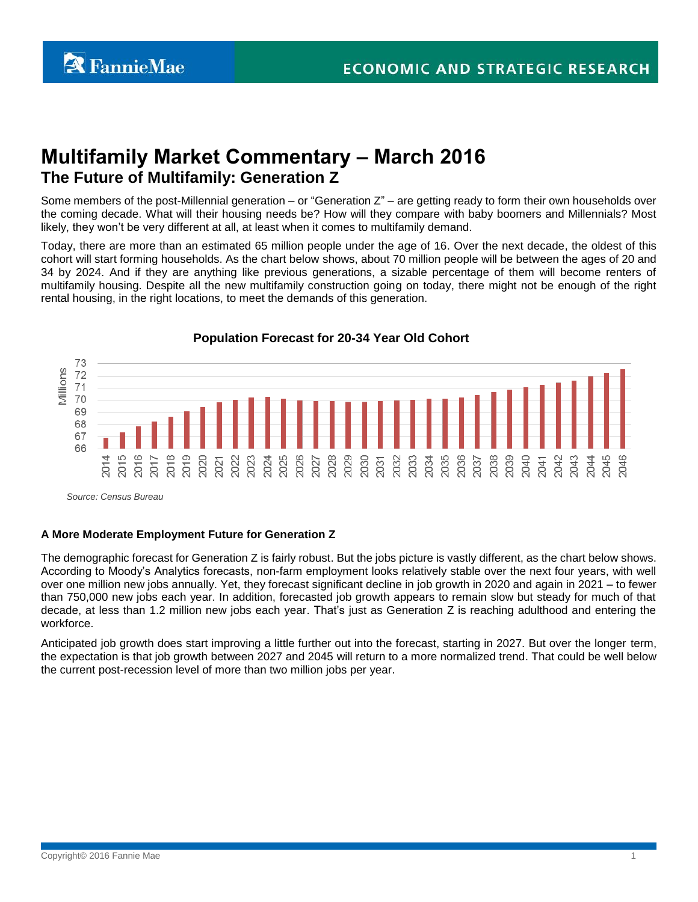# **Multifamily Market Commentary – March 2016 The Future of Multifamily: Generation Z**

Some members of the post-Millennial generation – or "Generation  $Z<sup>n</sup>$  – are getting ready to form their own households over the coming decade. What will their housing needs be? How will they compare with baby boomers and Millennials? Most likely, they won't be very different at all, at least when it comes to multifamily demand.

Today, there are more than an estimated 65 million people under the age of 16. Over the next decade, the oldest of this cohort will start forming households. As the chart below shows, about 70 million people will be between the ages of 20 and 34 by 2024. And if they are anything like previous generations, a sizable percentage of them will become renters of multifamily housing. Despite all the new multifamily construction going on today, there might not be enough of the right rental housing, in the right locations, to meet the demands of this generation.



**Population Forecast for 20-34 Year Old Cohort** 

*Source: Census Bureau*

# **A More Moderate Employment Future for Generation Z**

The demographic forecast for Generation Z is fairly robust. But the jobs picture is vastly different, as the chart below shows. According to Moody's Analytics forecasts, non-farm employment looks relatively stable over the next four years, with well over one million new jobs annually. Yet, they forecast significant decline in job growth in 2020 and again in 2021 – to fewer than 750,000 new jobs each year. In addition, forecasted job growth appears to remain slow but steady for much of that decade, at less than 1.2 million new jobs each year. That's just as Generation Z is reaching adulthood and entering the workforce.

Anticipated job growth does start improving a little further out into the forecast, starting in 2027. But over the longer term, the expectation is that job growth between 2027 and 2045 will return to a more normalized trend. That could be well below the current post-recession level of more than two million jobs per year.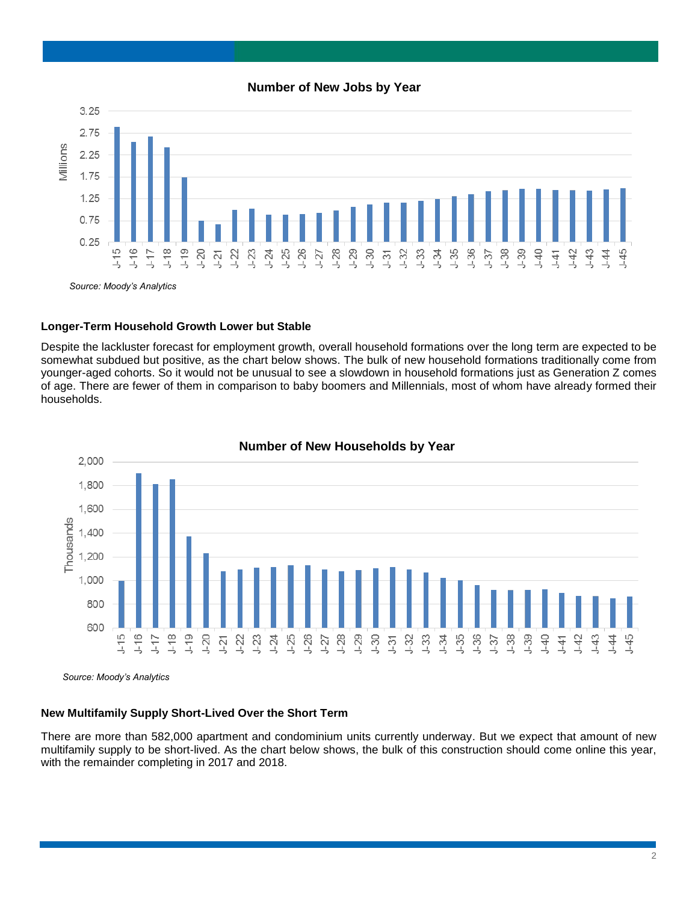#### **Number of New Jobs by Year**



#### **Longer-Term Household Growth Lower but Stable**

Despite the lackluster forecast for employment growth, overall household formations over the long term are expected to be somewhat subdued but positive, as the chart below shows. The bulk of new household formations traditionally come from younger-aged cohorts. So it would not be unusual to see a slowdown in household formations just as Generation Z comes of age. There are fewer of them in comparison to baby boomers and Millennials, most of whom have already formed their households.



# **Number of New Households by Year**

*Source: Moody's Analytics*

# **New Multifamily Supply Short-Lived Over the Short Term**

There are more than 582,000 apartment and condominium units currently underway. But we expect that amount of new multifamily supply to be short-lived. As the chart below shows, the bulk of this construction should come online this year, with the remainder completing in 2017 and 2018.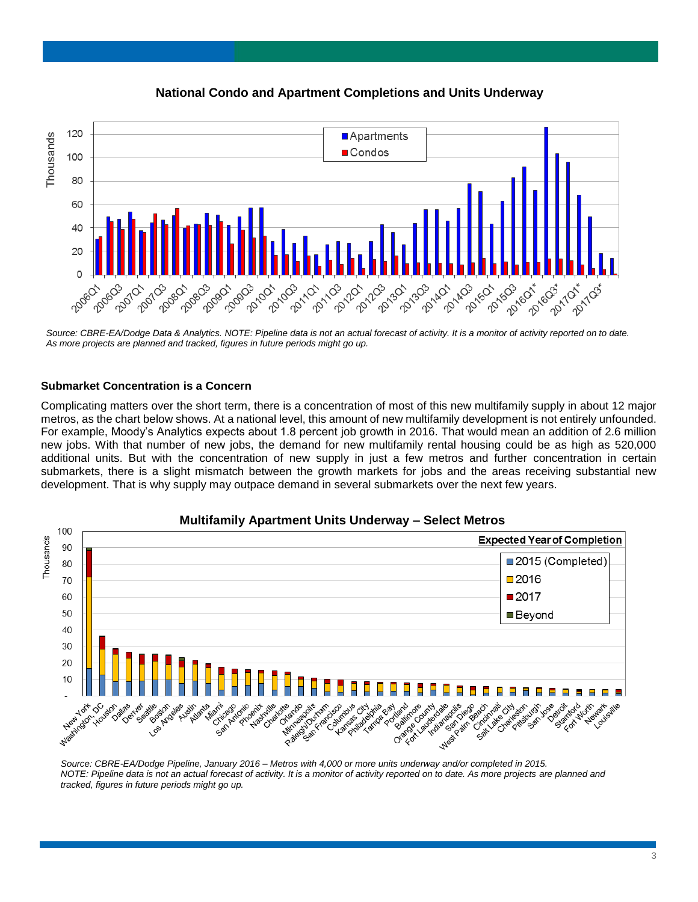

**National Condo and Apartment Completions and Units Underway**

*Source: CBRE-EA/Dodge Data & Analytics. NOTE: Pipeline data is not an actual forecast of activity. It is a monitor of activity reported on to date. As more projects are planned and tracked, figures in future periods might go up.* 

#### **Submarket Concentration is a Concern**

Complicating matters over the short term, there is a concentration of most of this new multifamily supply in about 12 major metros, as the chart below shows. At a national level, this amount of new multifamily development is not entirely unfounded. For example, Moody's Analytics expects about 1.8 percent job growth in 2016. That would mean an addition of 2.6 million new jobs. With that number of new jobs, the demand for new multifamily rental housing could be as high as 520,000 additional units. But with the concentration of new supply in just a few metros and further concentration in certain submarkets, there is a slight mismatch between the growth markets for jobs and the areas receiving substantial new development. That is why supply may outpace demand in several submarkets over the next few years.



*Source: CBRE-EA/Dodge Pipeline, January 2016 – Metros with 4,000 or more units underway and/or completed in 2015. NOTE: Pipeline data is not an actual forecast of activity. It is a monitor of activity reported on to date. As more projects are planned and tracked, figures in future periods might go up.*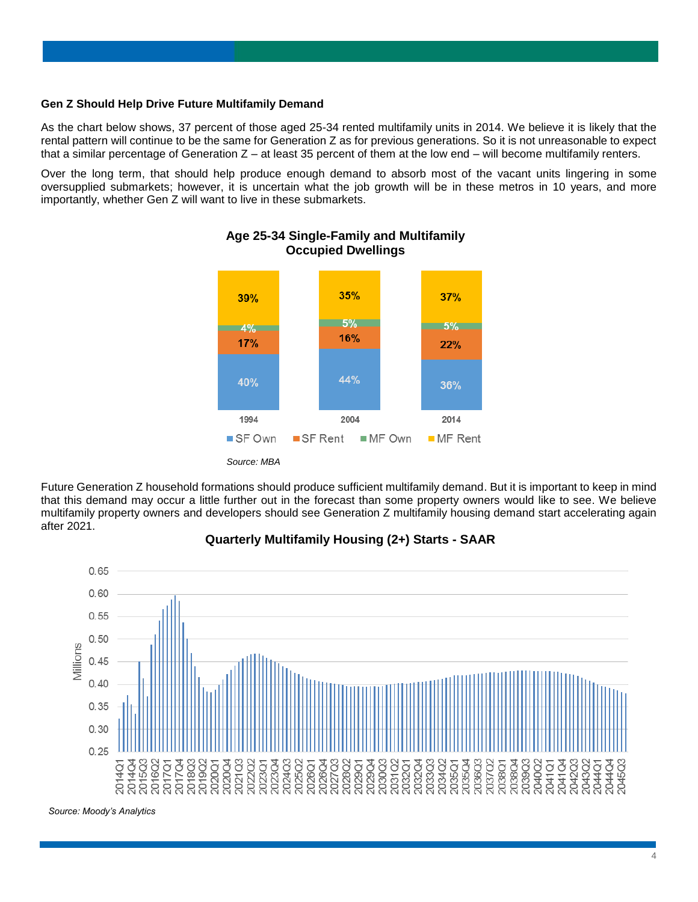#### **Gen Z Should Help Drive Future Multifamily Demand**

As the chart below shows, 37 percent of those aged 25-34 rented multifamily units in 2014. We believe it is likely that the rental pattern will continue to be the same for Generation Z as for previous generations. So it is not unreasonable to expect that a similar percentage of Generation  $Z - at$  least 35 percent of them at the low end  $-$  will become multifamily renters.

Over the long term, that should help produce enough demand to absorb most of the vacant units lingering in some oversupplied submarkets; however, it is uncertain what the job growth will be in these metros in 10 years, and more importantly, whether Gen Z will want to live in these submarkets.



# **Age 25-34 Single-Family and Multifamily Occupied Dwellings**

Future Generation Z household formations should produce sufficient multifamily demand. But it is important to keep in mind that this demand may occur a little further out in the forecast than some property owners would like to see. We believe multifamily property owners and developers should see Generation Z multifamily housing demand start accelerating again after 2021.



# **Quarterly Multifamily Housing (2+) Starts - SAAR**

*Source: Moody's Analytics*